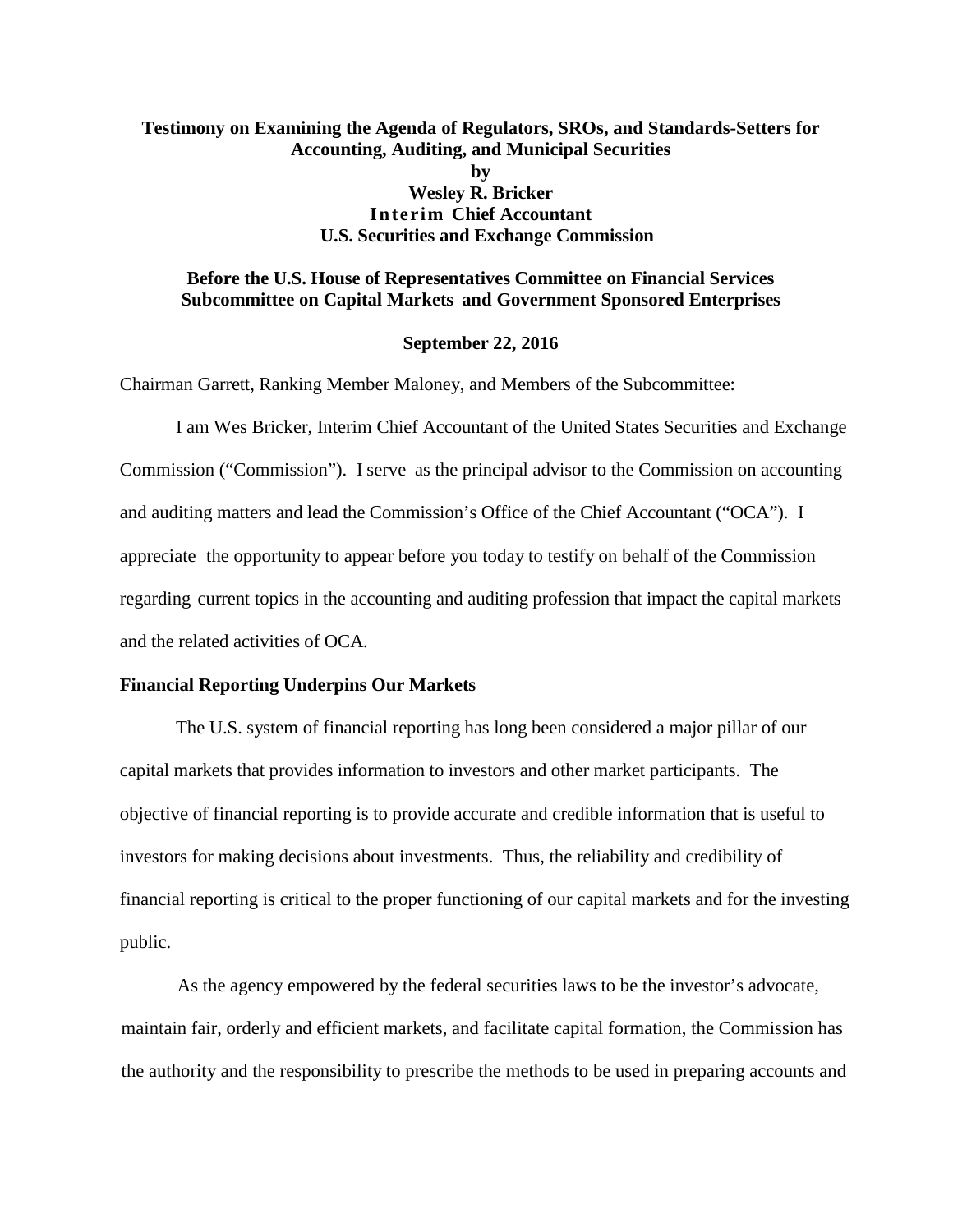# **Testimony on Examining the Agenda of Regulators, SROs, and Standards-Setters for Accounting, Auditing, and Municipal Securities by Wesley R. Bricker Interim Chief Accountant U.S. Securities and Exchange Commission**

## **Before the U.S. House of Representatives Committee on Financial Services Subcommittee on Capital Markets and Government Sponsored Enterprises**

#### **September 22, 2016**

Chairman Garrett, Ranking Member Maloney, and Members of the Subcommittee:

I am Wes Bricker, Interim Chief Accountant of the United States Securities and Exchange Commission ("Commission"). I serve as the principal advisor to the Commission on accounting and auditing matters and lead the Commission's Office of the Chief Accountant ("OCA"). I appreciate the opportunity to appear before you today to testify on behalf of the Commission regarding current topics in the accounting and auditing profession that impact the capital markets and the related activities of OCA*.*

#### **Financial Reporting Underpins Our Markets**

The U.S. system of financial reporting has long been considered a major pillar of our capital markets that provides information to investors and other market participants. The objective of financial reporting is to provide accurate and credible information that is useful to investors for making decisions about investments. Thus, the reliability and credibility of financial reporting is critical to the proper functioning of our capital markets and for the investing public.

As the agency empowered by the federal securities laws to be the investor's advocate, maintain fair, orderly and efficient markets, and facilitate capital formation, the Commission has the authority and the responsibility to prescribe the methods to be used in preparing accounts and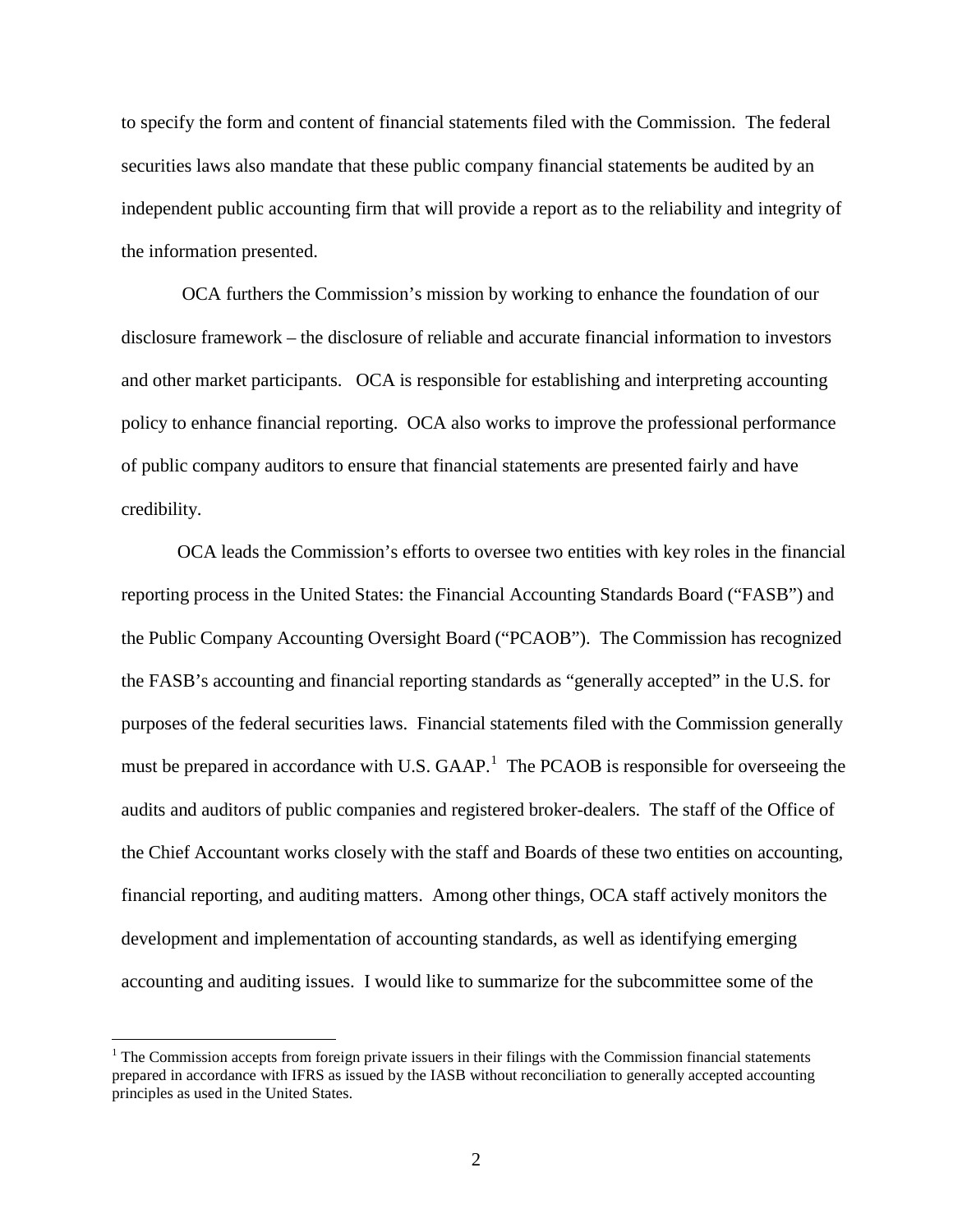to specify the form and content of financial statements filed with the Commission. The federal securities laws also mandate that these public company financial statements be audited by an independent public accounting firm that will provide a report as to the reliability and integrity of the information presented.

OCA furthers the Commission's mission by working to enhance the foundation of our disclosure framework – the disclosure of reliable and accurate financial information to investors and other market participants. OCA is responsible for establishing and interpreting accounting policy to enhance financial reporting. OCA also works to improve the professional performance of public company auditors to ensure that financial statements are presented fairly and have credibility.

OCA leads the Commission's efforts to oversee two entities with key roles in the financial reporting process in the United States: the Financial Accounting Standards Board ("FASB") and the Public Company Accounting Oversight Board ("PCAOB"). The Commission has recognized the FASB's accounting and financial reporting standards as "generally accepted" in the U.S. for purposes of the federal securities laws. Financial statements filed with the Commission generally must be prepared in accordance with U.S.  $GAAP$ .<sup>[1](#page-1-0)</sup> The PCAOB is responsible for overseeing the audits and auditors of public companies and registered broker-dealers. The staff of the Office of the Chief Accountant works closely with the staff and Boards of these two entities on accounting, financial reporting, and auditing matters. Among other things, OCA staff actively monitors the development and implementation of accounting standards, as well as identifying emerging accounting and auditing issues. I would like to summarize for the subcommittee some of the

<span id="page-1-0"></span> $<sup>1</sup>$  The Commission accepts from foreign private issuers in their filings with the Commission financial statements</sup> prepared in accordance with IFRS as issued by the IASB without reconciliation to generally accepted accounting principles as used in the United States.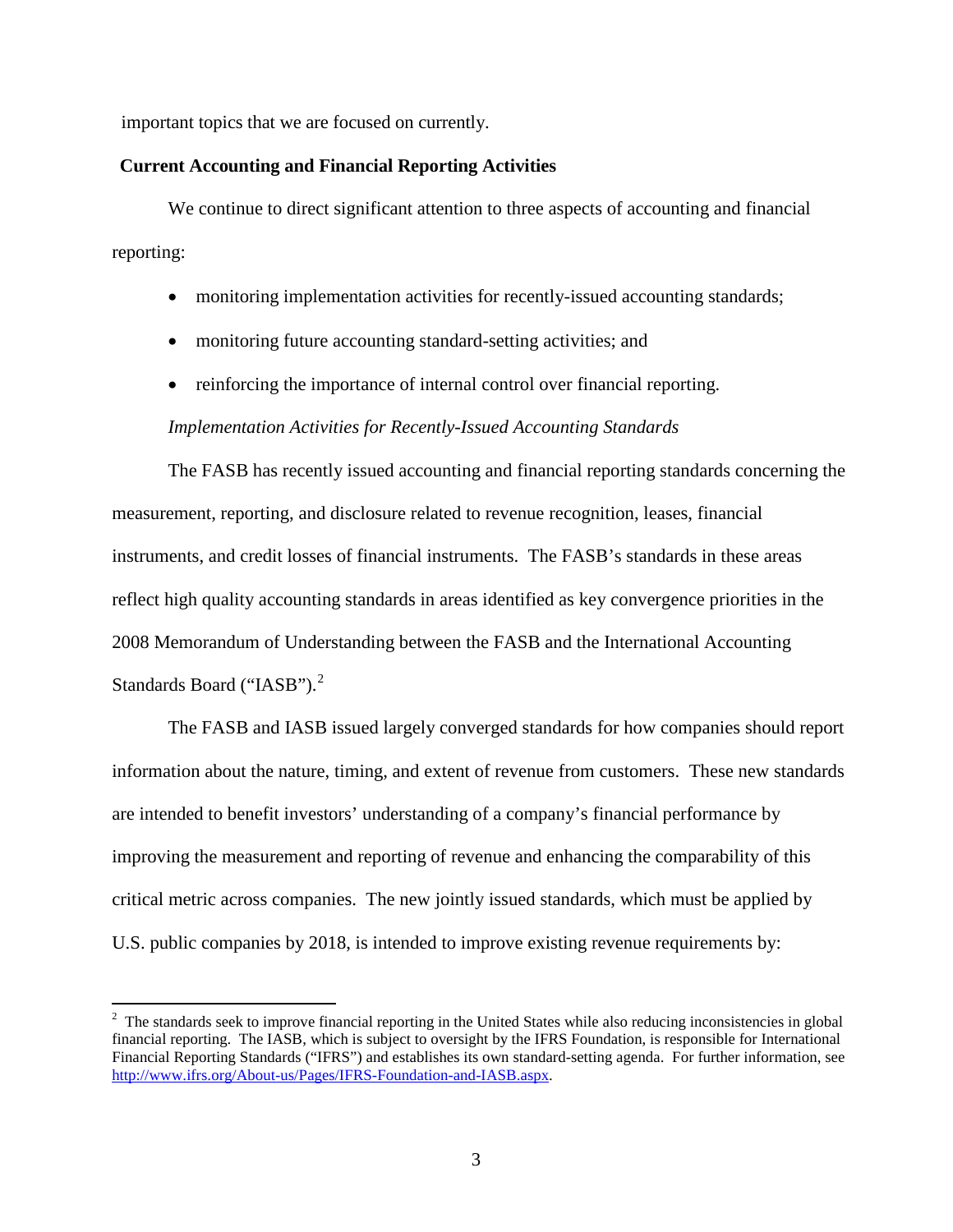important topics that we are focused on currently.

## **Current Accounting and Financial Reporting Activities**

We continue to direct significant attention to three aspects of accounting and financial reporting:

- monitoring implementation activities for recently-issued accounting standards;
- monitoring future accounting standard-setting activities; and
- reinforcing the importance of internal control over financial reporting.

#### *Implementation Activities for Recently-Issued Accounting Standards*

The FASB has recently issued accounting and financial reporting standards concerning the measurement, reporting, and disclosure related to revenue recognition, leases, financial instruments, and credit losses of financial instruments. The FASB's standards in these areas reflect high quality accounting standards in areas identified as key convergence priorities in the 2008 Memorandum of Understanding between the FASB and the International Accounting Standards Board ("IASB").<sup>[2](#page-2-0)</sup>

The FASB and IASB issued largely converged standards for how companies should report information about the nature, timing, and extent of revenue from customers. These new standards are intended to benefit investors' understanding of a company's financial performance by improving the measurement and reporting of revenue and enhancing the comparability of this critical metric across companies. The new jointly issued standards, which must be applied by U.S. public companies by 2018, is intended to improve existing revenue requirements by:

<span id="page-2-0"></span> $\frac{1}{2}$  $\frac{1}{2}$  The standards seek to improve financial reporting in the United States while also reducing inconsistencies in global financial reporting. The IASB, which is subject to oversight by the IFRS Foundation, is responsible for International Financial Reporting Standards ("IFRS") and establishes its own standard-setting agenda. For further information, see [http://www.ifrs.org/About-us/Pages/IFRS-Foundation-and-IASB.aspx.](http://www.ifrs.org/About-us/Pages/IFRS-Foundation-and-IASB.aspx)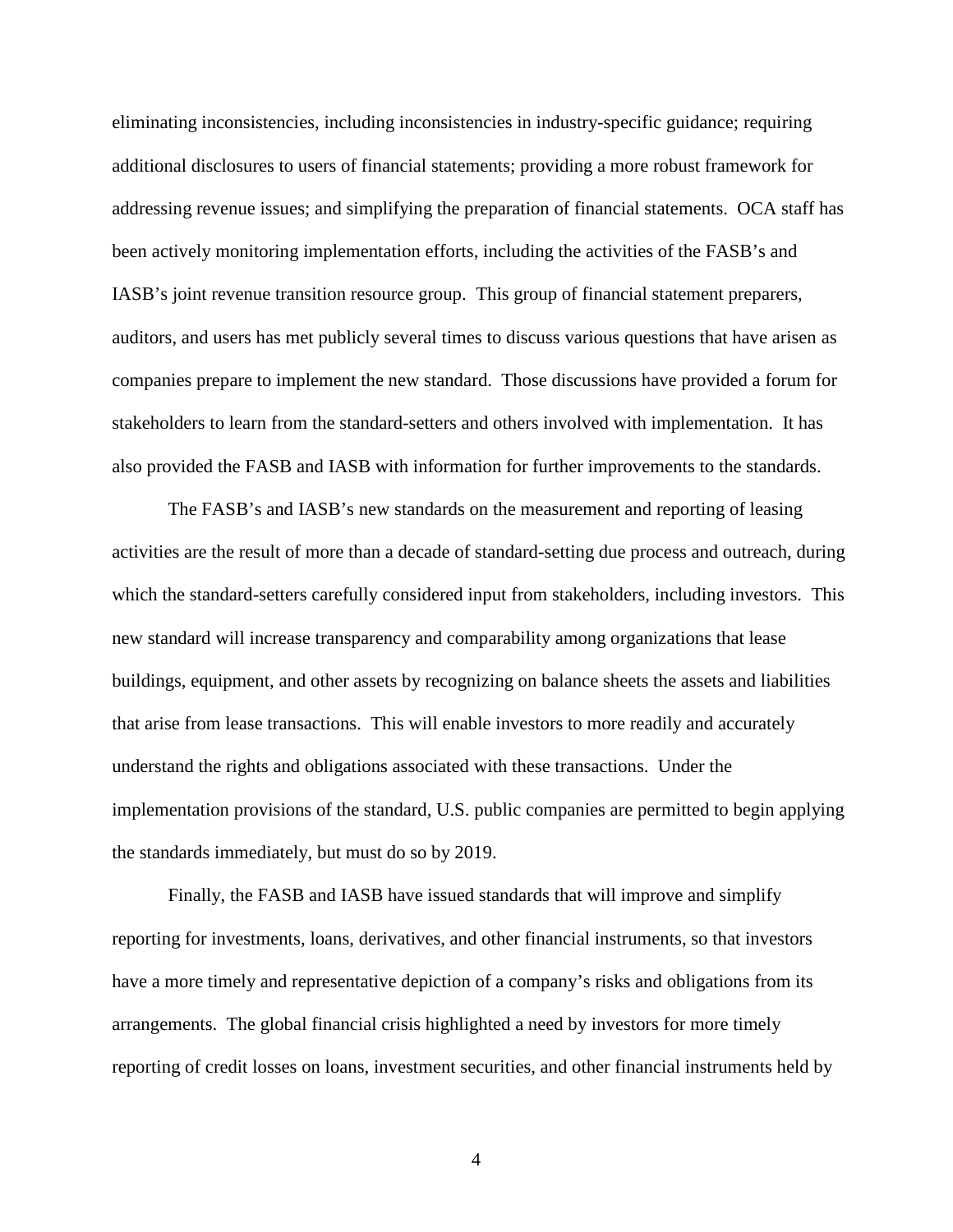eliminating inconsistencies, including inconsistencies in industry-specific guidance; requiring additional disclosures to users of financial statements; providing a more robust framework for addressing revenue issues; and simplifying the preparation of financial statements. OCA staff has been actively monitoring implementation efforts, including the activities of the FASB's and IASB's joint revenue transition resource group. This group of financial statement preparers, auditors, and users has met publicly several times to discuss various questions that have arisen as companies prepare to implement the new standard. Those discussions have provided a forum for stakeholders to learn from the standard-setters and others involved with implementation. It has also provided the FASB and IASB with information for further improvements to the standards.

The FASB's and IASB's new standards on the measurement and reporting of leasing activities are the result of more than a decade of standard-setting due process and outreach, during which the standard-setters carefully considered input from stakeholders, including investors. This new standard will increase transparency and comparability among organizations that lease buildings, equipment, and other assets by recognizing on balance sheets the assets and liabilities that arise from lease transactions. This will enable investors to more readily and accurately understand the rights and obligations associated with these transactions. Under the implementation provisions of the standard, U.S. public companies are permitted to begin applying the standards immediately, but must do so by 2019.

Finally, the FASB and IASB have issued standards that will improve and simplify reporting for investments, loans, derivatives, and other financial instruments, so that investors have a more timely and representative depiction of a company's risks and obligations from its arrangements. The global financial crisis highlighted a need by investors for more timely reporting of credit losses on loans, investment securities, and other financial instruments held by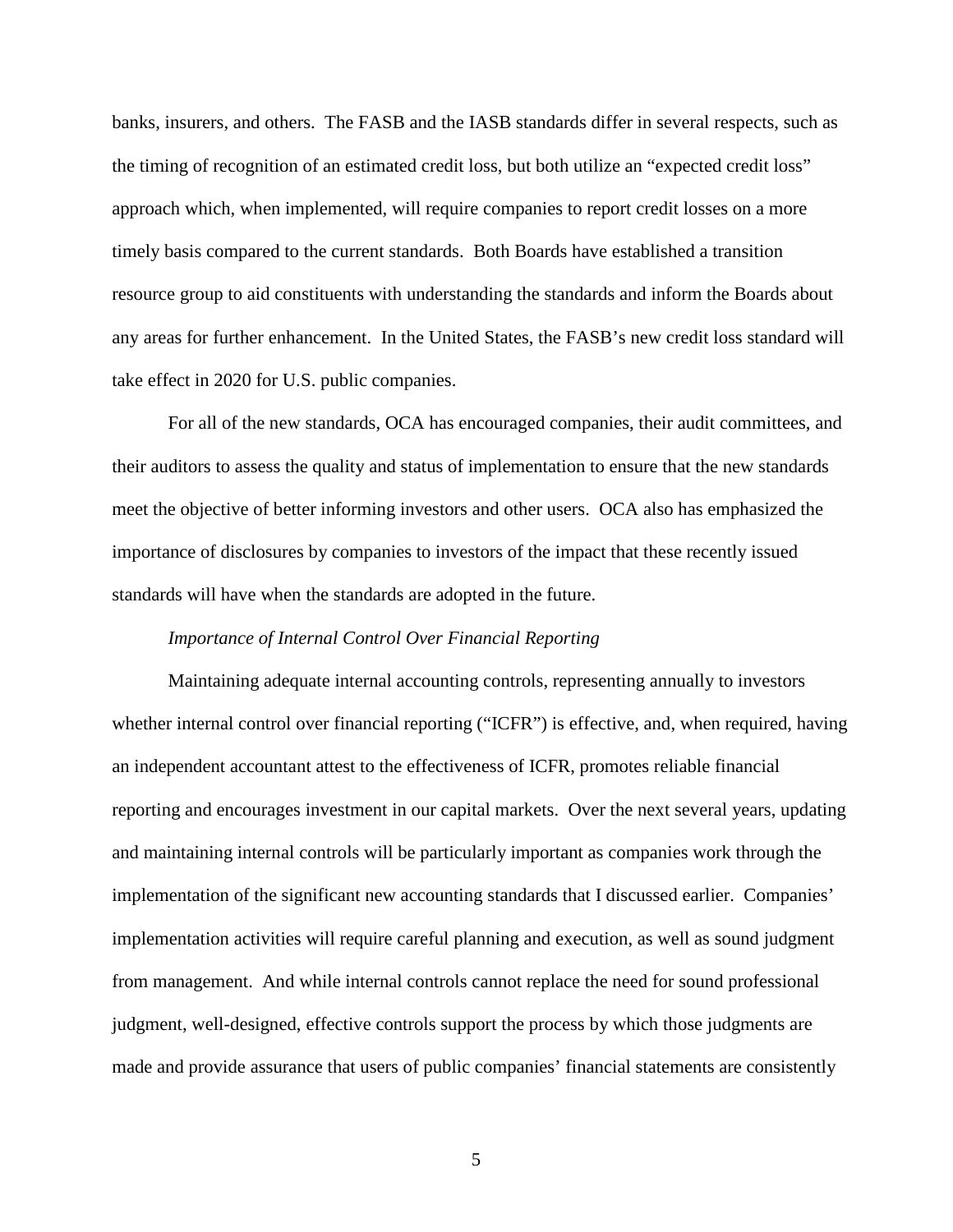banks, insurers, and others. The FASB and the IASB standards differ in several respects, such as the timing of recognition of an estimated credit loss, but both utilize an "expected credit loss" approach which, when implemented, will require companies to report credit losses on a more timely basis compared to the current standards. Both Boards have established a transition resource group to aid constituents with understanding the standards and inform the Boards about any areas for further enhancement. In the United States, the FASB's new credit loss standard will take effect in 2020 for U.S. public companies.

For all of the new standards, OCA has encouraged companies, their audit committees, and their auditors to assess the quality and status of implementation to ensure that the new standards meet the objective of better informing investors and other users. OCA also has emphasized the importance of disclosures by companies to investors of the impact that these recently issued standards will have when the standards are adopted in the future.

### *Importance of Internal Control Over Financial Reporting*

Maintaining adequate internal accounting controls, representing annually to investors whether internal control over financial reporting ("ICFR") is effective, and, when required, having an independent accountant attest to the effectiveness of ICFR, promotes reliable financial reporting and encourages investment in our capital markets. Over the next several years, updating and maintaining internal controls will be particularly important as companies work through the implementation of the significant new accounting standards that I discussed earlier. Companies' implementation activities will require careful planning and execution, as well as sound judgment from management. And while internal controls cannot replace the need for sound professional judgment, well-designed, effective controls support the process by which those judgments are made and provide assurance that users of public companies' financial statements are consistently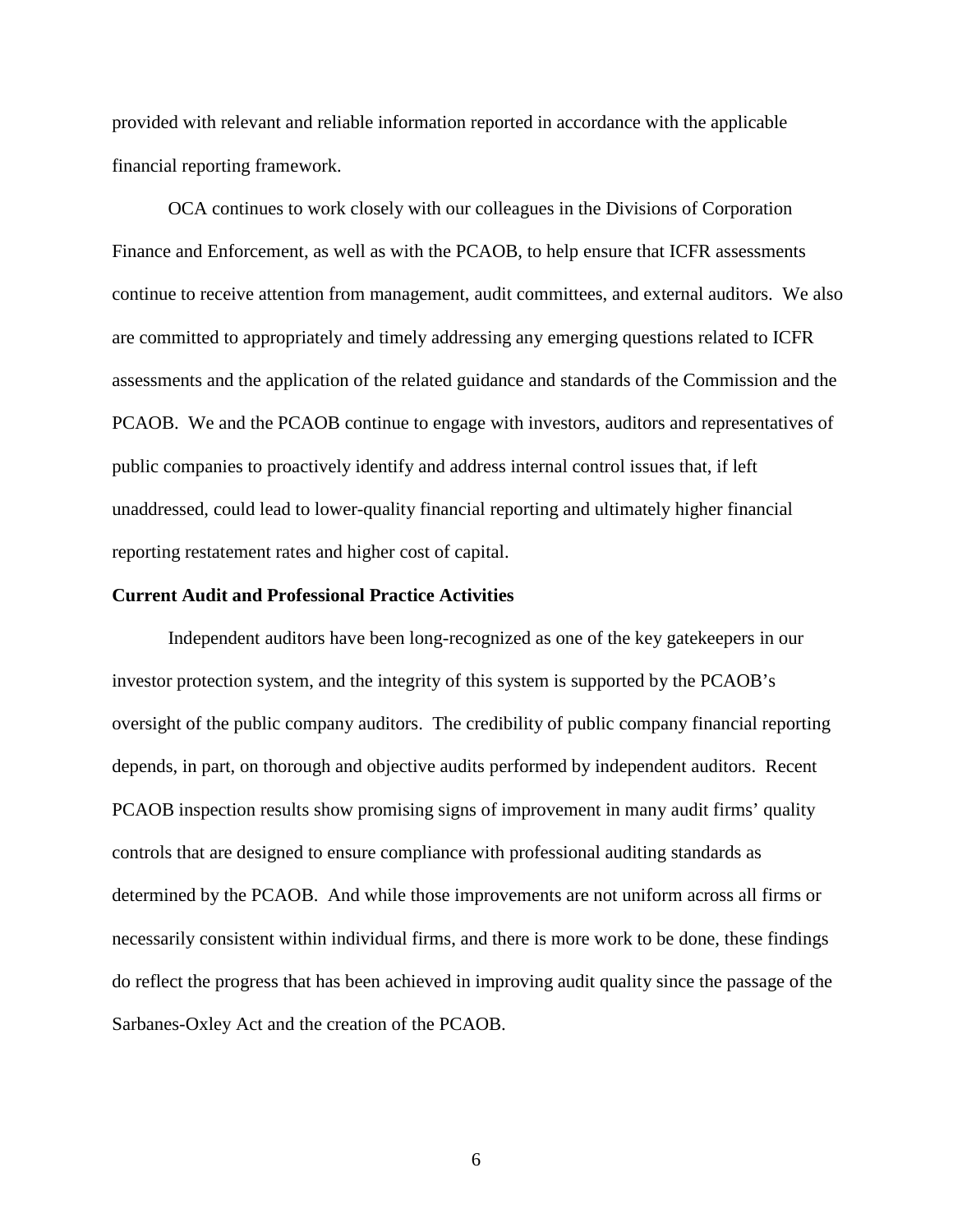provided with relevant and reliable information reported in accordance with the applicable financial reporting framework.

OCA continues to work closely with our colleagues in the Divisions of Corporation Finance and Enforcement, as well as with the PCAOB, to help ensure that ICFR assessments continue to receive attention from management, audit committees, and external auditors. We also are committed to appropriately and timely addressing any emerging questions related to ICFR assessments and the application of the related guidance and standards of the Commission and the PCAOB. We and the PCAOB continue to engage with investors, auditors and representatives of public companies to proactively identify and address internal control issues that, if left unaddressed, could lead to lower-quality financial reporting and ultimately higher financial reporting restatement rates and higher cost of capital.

#### **Current Audit and Professional Practice Activities**

Independent auditors have been long-recognized as one of the key gatekeepers in our investor protection system, and the integrity of this system is supported by the PCAOB's oversight of the public company auditors. The credibility of public company financial reporting depends, in part, on thorough and objective audits performed by independent auditors. Recent PCAOB inspection results show promising signs of improvement in many audit firms' quality controls that are designed to ensure compliance with professional auditing standards as determined by the PCAOB. And while those improvements are not uniform across all firms or necessarily consistent within individual firms, and there is more work to be done, these findings do reflect the progress that has been achieved in improving audit quality since the passage of the Sarbanes-Oxley Act and the creation of the PCAOB.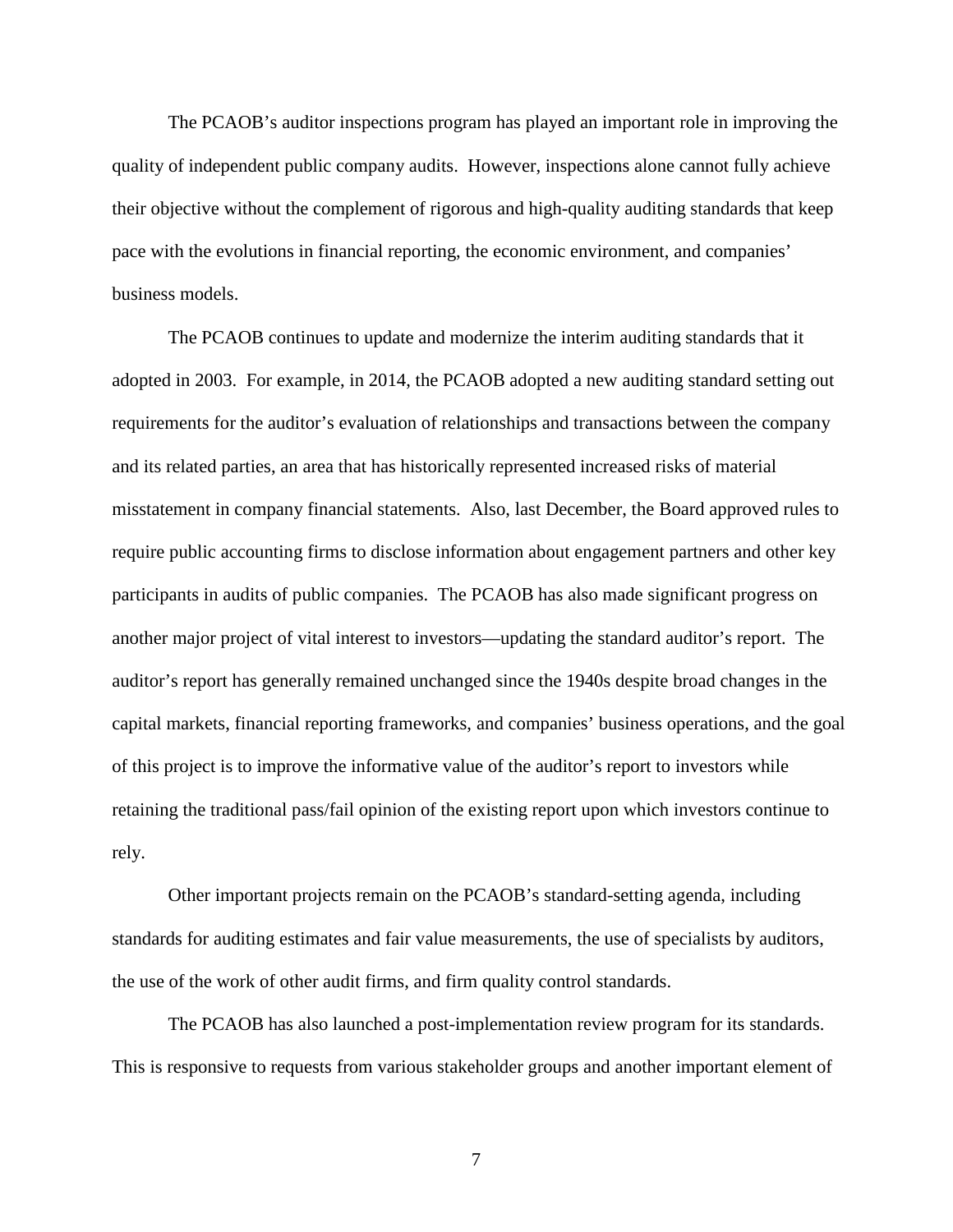The PCAOB's auditor inspections program has played an important role in improving the quality of independent public company audits. However, inspections alone cannot fully achieve their objective without the complement of rigorous and high-quality auditing standards that keep pace with the evolutions in financial reporting, the economic environment, and companies' business models.

The PCAOB continues to update and modernize the interim auditing standards that it adopted in 2003. For example, in 2014, the PCAOB adopted a new auditing standard setting out requirements for the auditor's evaluation of relationships and transactions between the company and its related parties, an area that has historically represented increased risks of material misstatement in company financial statements. Also, last December, the Board approved rules to require public accounting firms to disclose information about engagement partners and other key participants in audits of public companies. The PCAOB has also made significant progress on another major project of vital interest to investors—updating the standard auditor's report. The auditor's report has generally remained unchanged since the 1940s despite broad changes in the capital markets, financial reporting frameworks, and companies' business operations, and the goal of this project is to improve the informative value of the auditor's report to investors while retaining the traditional pass/fail opinion of the existing report upon which investors continue to rely.

Other important projects remain on the PCAOB's standard-setting agenda, including standards for auditing estimates and fair value measurements, the use of specialists by auditors, the use of the work of other audit firms, and firm quality control standards.

The PCAOB has also launched a post-implementation review program for its standards. This is responsive to requests from various stakeholder groups and another important element of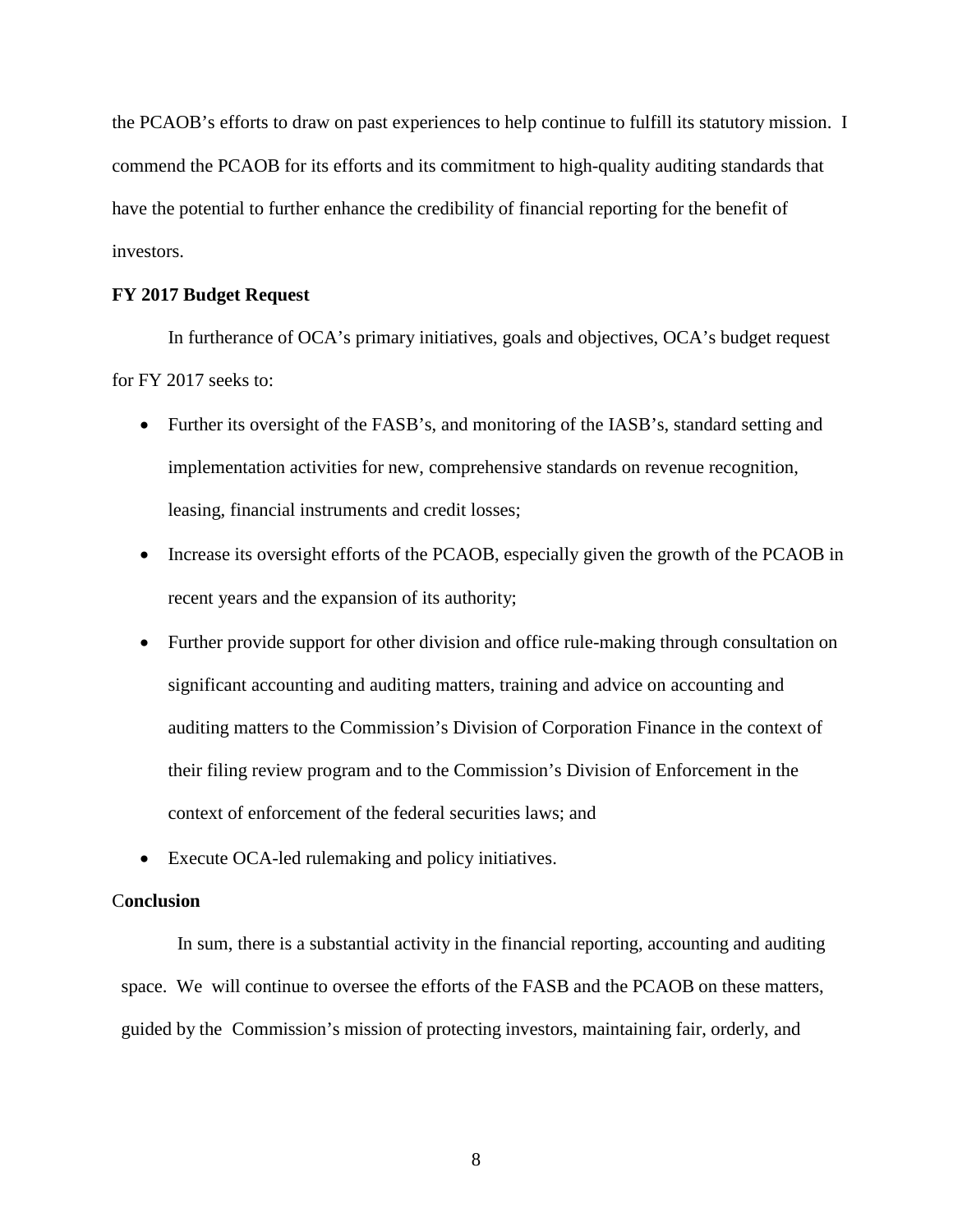the PCAOB's efforts to draw on past experiences to help continue to fulfill its statutory mission. I commend the PCAOB for its efforts and its commitment to high-quality auditing standards that have the potential to further enhance the credibility of financial reporting for the benefit of investors.

## **FY 2017 Budget Request**

In furtherance of OCA's primary initiatives, goals and objectives, OCA's budget request for FY 2017 seeks to:

- Further its oversight of the FASB's, and monitoring of the IASB's, standard setting and implementation activities for new, comprehensive standards on revenue recognition, leasing, financial instruments and credit losses;
- Increase its oversight efforts of the PCAOB, especially given the growth of the PCAOB in recent years and the expansion of its authority;
- Further provide support for other division and office rule-making through consultation on significant accounting and auditing matters, training and advice on accounting and auditing matters to the Commission's Division of Corporation Finance in the context of their filing review program and to the Commission's Division of Enforcement in the context of enforcement of the federal securities laws; and
- Execute OCA-led rulemaking and policy initiatives.

## C**onclusion**

In sum, there is a substantial activity in the financial reporting, accounting and auditing space. We will continue to oversee the efforts of the FASB and the PCAOB on these matters, guided by the Commission's mission of protecting investors, maintaining fair, orderly, and